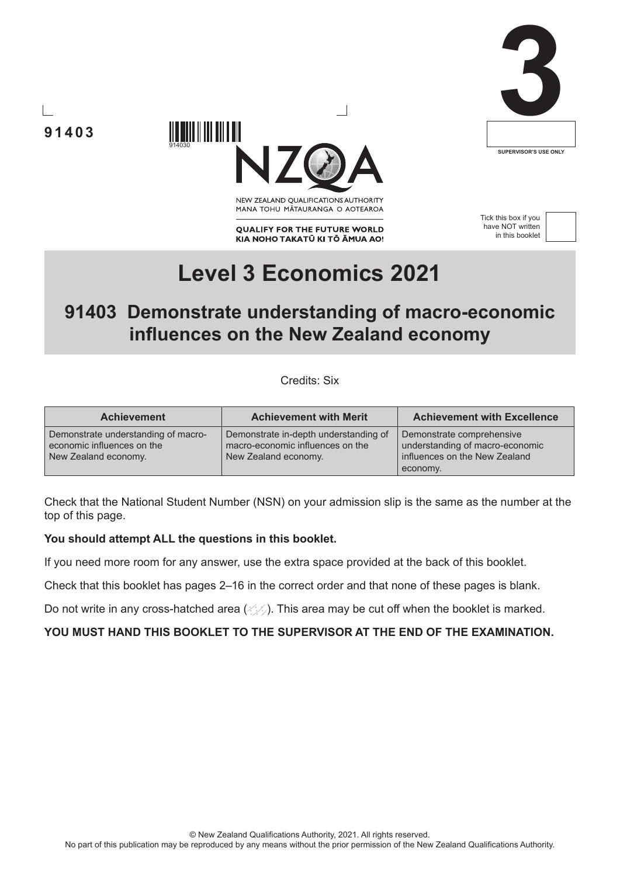





NEW ZEALAND OUALIFICATIONS AUTHORITY MANA TOHU MATAURANGA O AOTEAROA

**QUALIFY FOR THE FUTURE WORLD** KIA NOHO TAKATŪ KI TŌ ĀMUA AO! Tick this box if you have NOT written in this booklet



# **Level 3 Economics 2021**

## **91403 Demonstrate understanding of macro-economic influences on the New Zealand economy**

Credits: Six

| <b>Achievement</b>                                                                        | <b>Achievement with Merit</b>                                                                     | <b>Achievement with Excellence</b>                                                                        |
|-------------------------------------------------------------------------------------------|---------------------------------------------------------------------------------------------------|-----------------------------------------------------------------------------------------------------------|
| Demonstrate understanding of macro-<br>economic influences on the<br>New Zealand economy. | Demonstrate in-depth understanding of<br>macro-economic influences on the<br>New Zealand economy. | Demonstrate comprehensive<br>understanding of macro-economic<br>influences on the New Zealand<br>economy. |

Check that the National Student Number (NSN) on your admission slip is the same as the number at the top of this page.

### **You should attempt ALL the questions in this booklet.**

914030

If you need more room for any answer, use the extra space provided at the back of this booklet.

Check that this booklet has pages 2–16 in the correct order and that none of these pages is blank.

Do not write in any cross-hatched area  $(\angle\Diamond)$ . This area may be cut off when the booklet is marked.

### **YOU MUST HAND THIS BOOKLET TO THE SUPERVISOR AT THE END OF THE EXAMINATION.**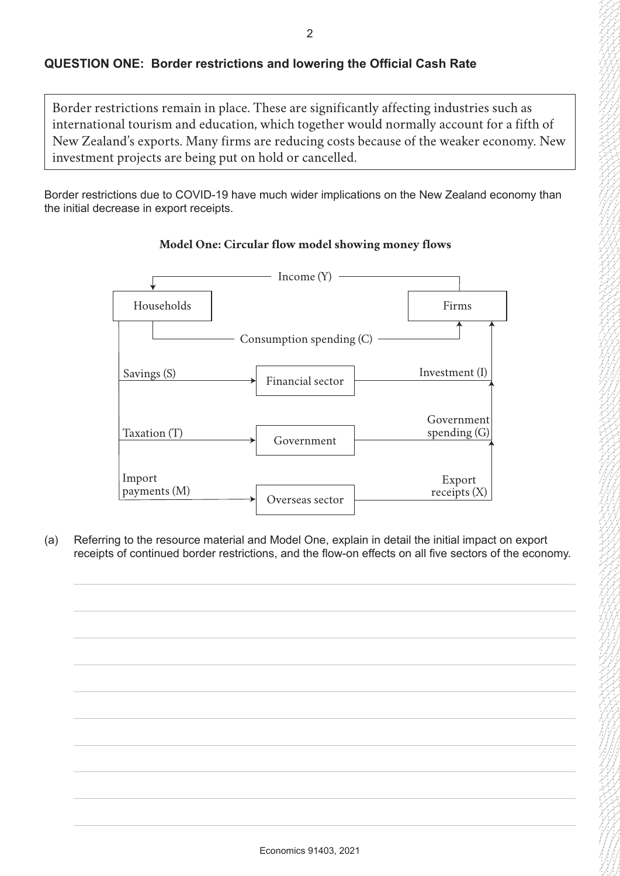## **QUESTION ONE: Border restrictions and lowering the Official Cash Rate**

Border restrictions remain in place. These are significantly affecting industries such as international tourism and education, which together would normally account for a fifth of New Zealand's exports. Many firms are reducing costs because of the weaker economy. New investment projects are being put on hold or cancelled.

Border restrictions due to COVID-19 have much wider implications on the New Zealand economy than the initial decrease in export receipts.



#### **Model One: Circular flow model showing money flows**

(a) Referring to the resource material and Model One, explain in detail the initial impact on export receipts of continued border restrictions, and the flow-on effects on all five sectors of the economy.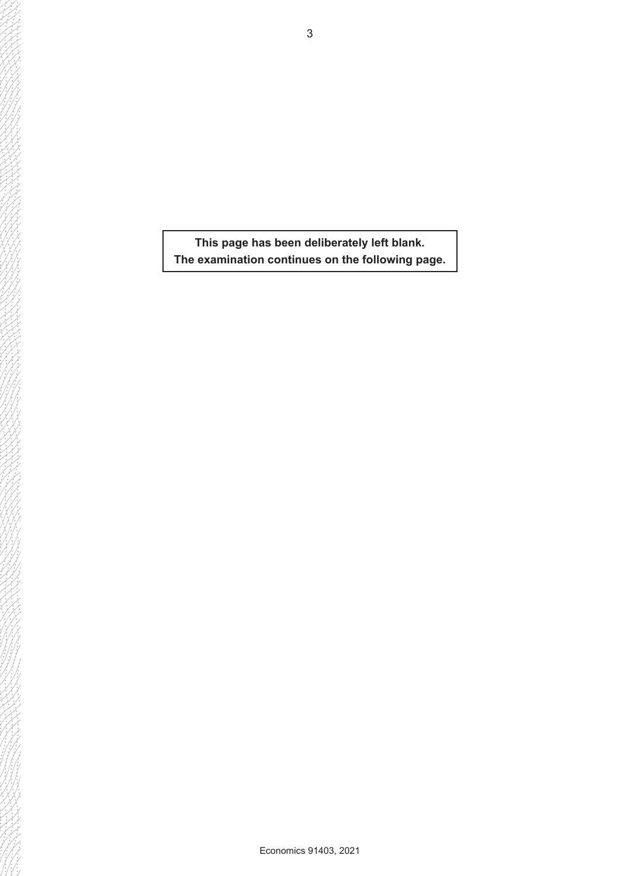**This page has been deliberately left blank. The examination continues on the following page.**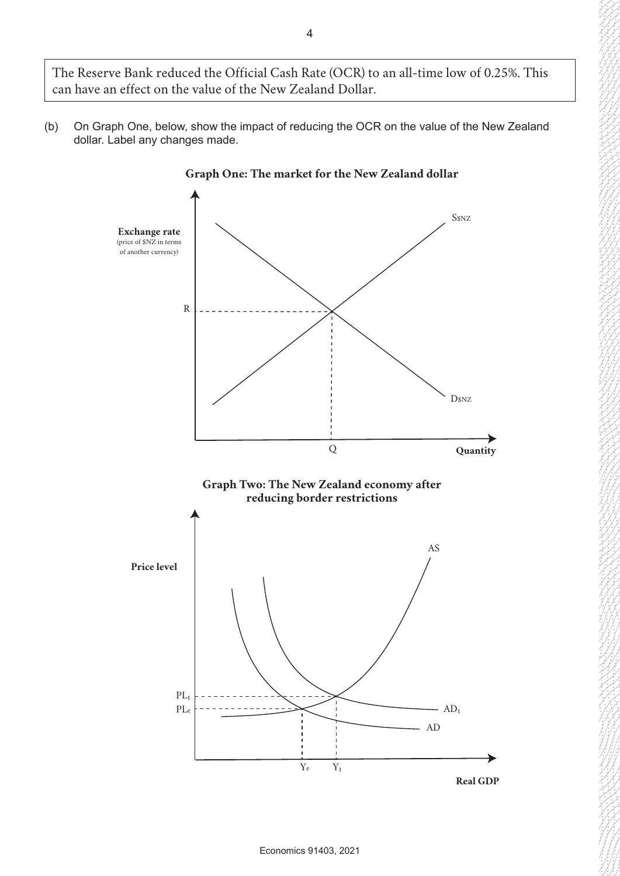The Reserve Bank reduced the Official Cash Rate (OCR) to an all-time low of 0.25%. This can have an effect on the value of the New Zealand Dollar.

(b) On Graph One, below, show the impact of reducing the OCR on the value of the New Zealand dollar. Label any changes made.



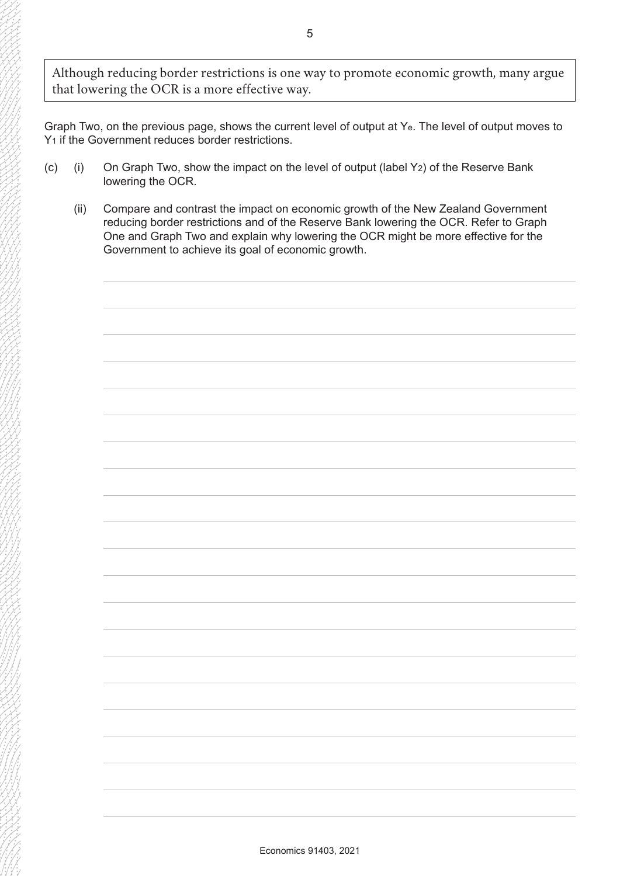Although reducing border restrictions is one way to promote economic growth, many argue that lowering the OCR is a more effective way.

Graph Two, on the previous page, shows the current level of output at Ye. The level of output moves to Y<sub>1</sub> if the Government reduces border restrictions.

- (c) (i) On Graph Two, show the impact on the level of output (label Y2) of the Reserve Bank lowering the OCR.
	- (ii) Compare and contrast the impact on economic growth of the New Zealand Government reducing border restrictions and of the Reserve Bank lowering the OCR. Refer to Graph One and Graph Two and explain why lowering the OCR might be more effective for the Government to achieve its goal of economic growth.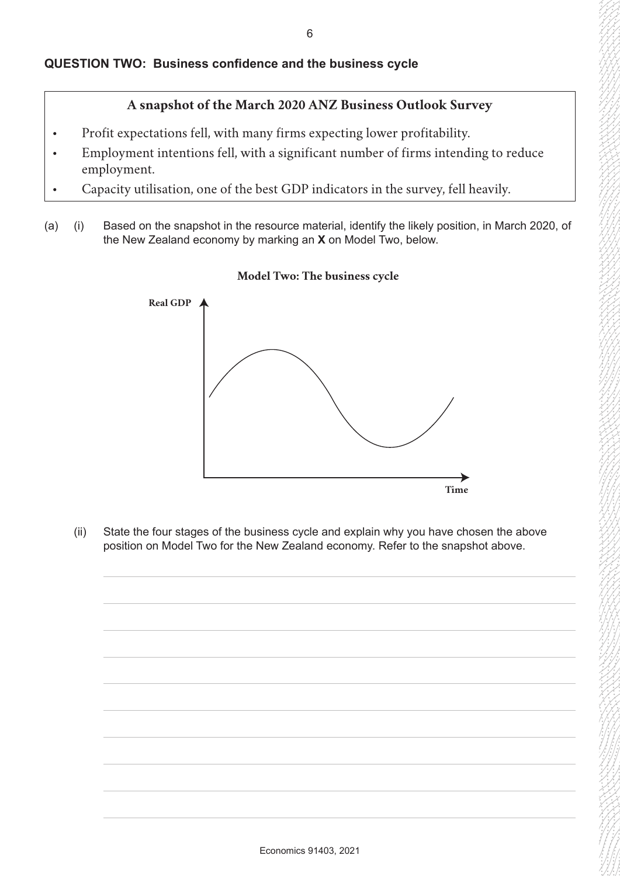## **QUESTION TWO: Business confidence and the business cycle**

## **A snapshot of the March 2020 ANZ Business Outlook Survey**

- Profit expectations fell, with many firms expecting lower profitability.
- Employment intentions fell, with a significant number of firms intending to reduce employment.
- Capacity utilisation, one of the best GDP indicators in the survey, fell heavily.
- (a) (i) Based on the snapshot in the resource material, identify the likely position, in March 2020, of the New Zealand economy by marking an **X** on Model Two, below.





(ii) State the four stages of the business cycle and explain why you have chosen the above position on Model Two for the New Zealand economy. Refer to the snapshot above.

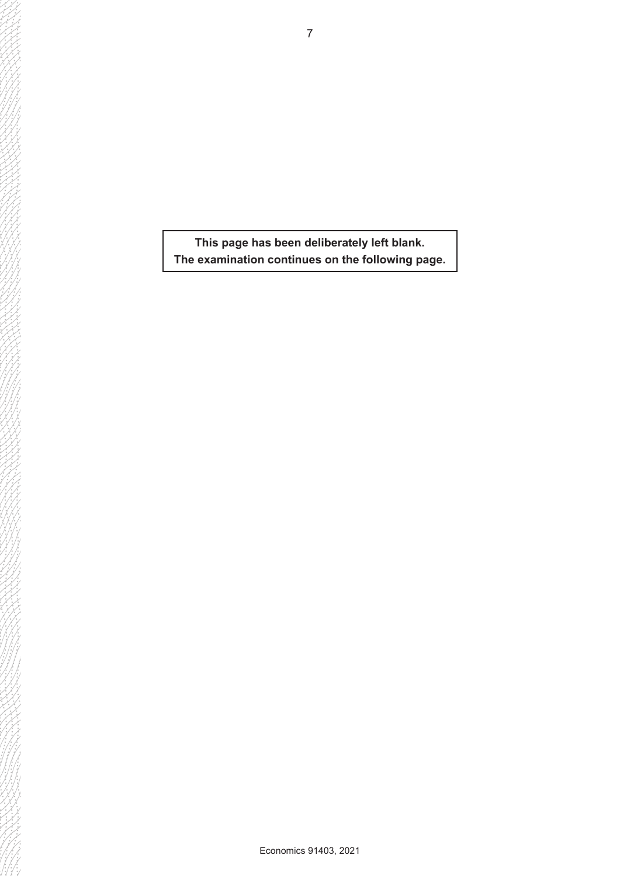**This page has been deliberately left blank. The examination continues on the following page.**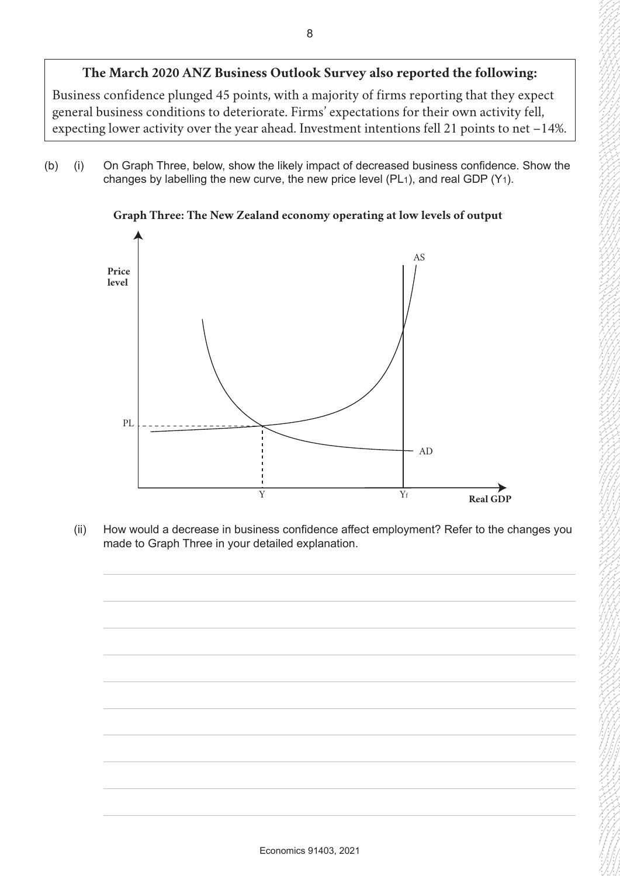## **The March 2020 ANZ Business Outlook Survey also reported the following:**

Business confidence plunged 45 points, with a majority of firms reporting that they expect general business conditions to deteriorate. Firms' expectations for their own activity fell, expecting lower activity over the year ahead. Investment intentions fell 21 points to net –14%.

(b) (i) On Graph Three, below, show the likely impact of decreased business confidence. Show the changes by labelling the new curve, the new price level (PL1), and real GDP (Y1).



**Graph Three: The New Zealand economy operating at low levels of output**

(ii) How would a decrease in business confidence affect employment? Refer to the changes you made to Graph Three in your detailed explanation.

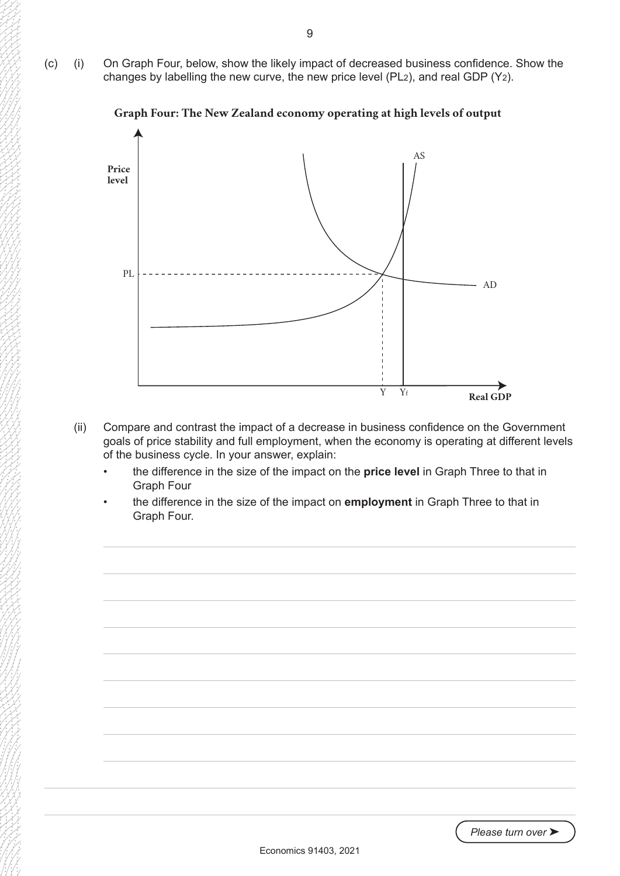(c) (i) On Graph Four, below, show the likely impact of decreased business confidence. Show the changes by labelling the new curve, the new price level (PL2), and real GDP (Y2).



**Graph Four: The New Zealand economy operating at high levels of output**

- (ii) Compare and contrast the impact of a decrease in business confidence on the Government goals of price stability and full employment, when the economy is operating at different levels of the business cycle. In your answer, explain:
	- the difference in the size of the impact on the **price level** in Graph Three to that in Graph Four
	- the difference in the size of the impact on **employment** in Graph Three to that in Graph Four.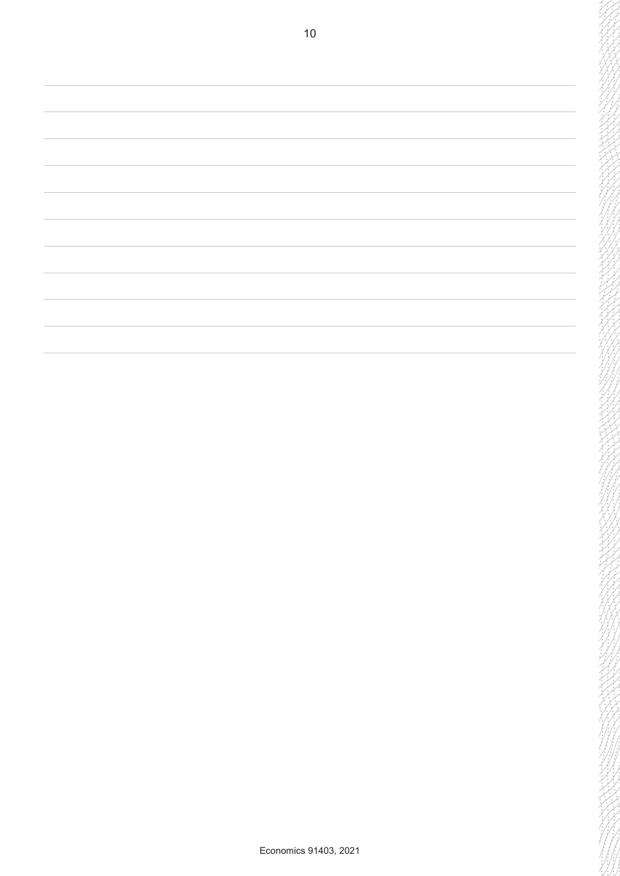![](_page_9_Figure_0.jpeg)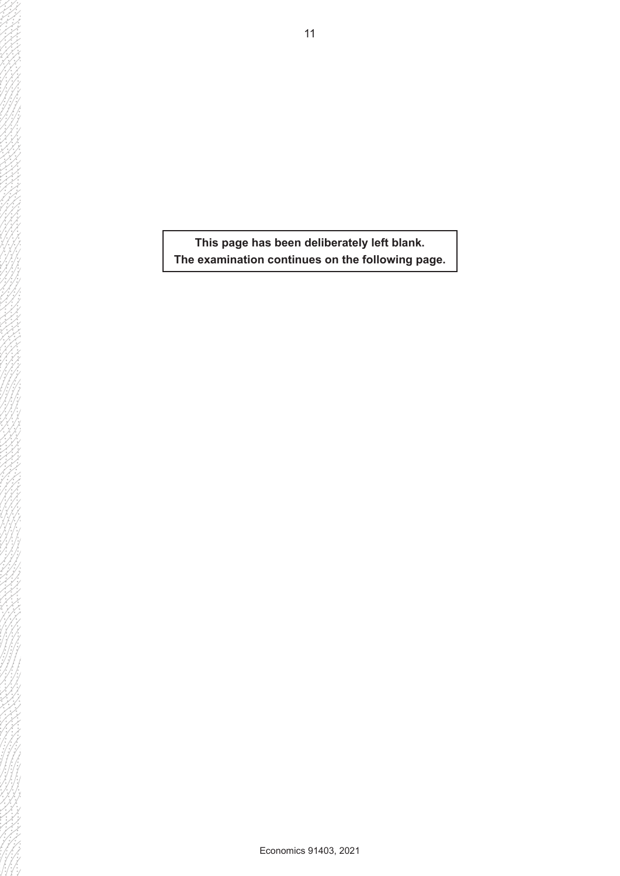**This page has been deliberately left blank. The examination continues on the following page.**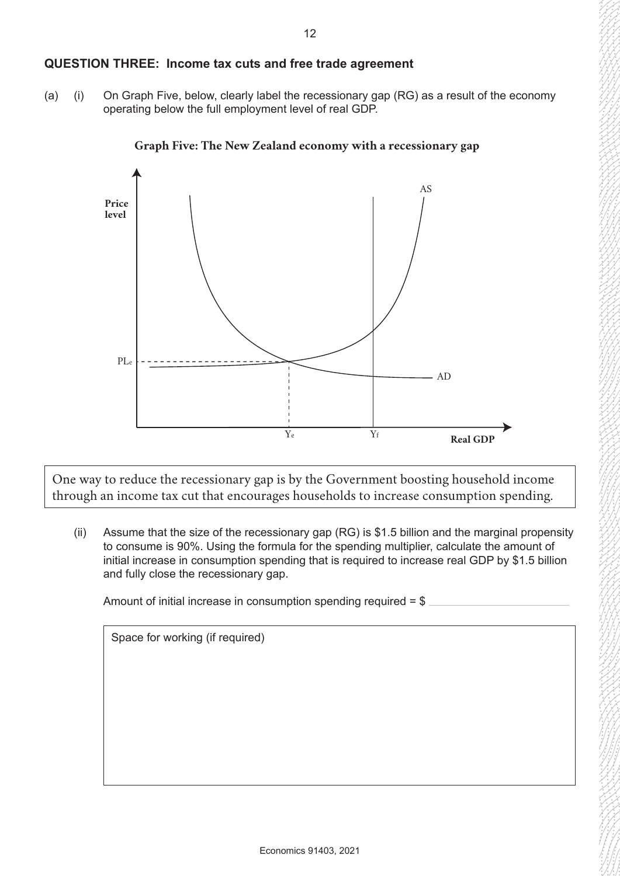## **QUESTION THREE: Income tax cuts and free trade agreement**

(a) (i) On Graph Five, below, clearly label the recessionary gap (RG) as a result of the economy operating below the full employment level of real GDP.

![](_page_11_Figure_2.jpeg)

**Graph Five: The New Zealand economy with a recessionary gap**

One way to reduce the recessionary gap is by the Government boosting household income through an income tax cut that encourages households to increase consumption spending.

(ii) Assume that the size of the recessionary gap (RG) is \$1.5 billion and the marginal propensity to consume is 90%. Using the formula for the spending multiplier, calculate the amount of initial increase in consumption spending that is required to increase real GDP by \$1.5 billion and fully close the recessionary gap.

Amount of initial increase in consumption spending required  $=$  \$

Space for working (if required)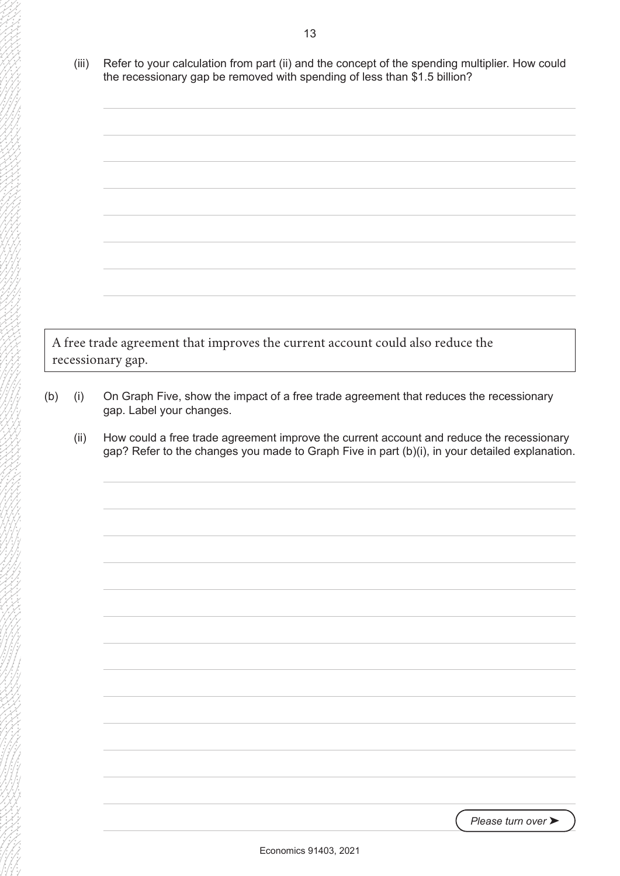| (iii) |      | Refer to your calculation from part (ii) and the concept of the spending multiplier. How could<br>the recessionary gap be removed with spending of less than \$1.5 billion?                |  |  |
|-------|------|--------------------------------------------------------------------------------------------------------------------------------------------------------------------------------------------|--|--|
|       |      |                                                                                                                                                                                            |  |  |
|       |      |                                                                                                                                                                                            |  |  |
|       |      |                                                                                                                                                                                            |  |  |
|       |      |                                                                                                                                                                                            |  |  |
|       |      |                                                                                                                                                                                            |  |  |
|       |      |                                                                                                                                                                                            |  |  |
|       |      |                                                                                                                                                                                            |  |  |
|       |      | A free trade agreement that improves the current account could also reduce the<br>recessionary gap.                                                                                        |  |  |
| (b)   | (i)  | On Graph Five, show the impact of a free trade agreement that reduces the recessionary<br>gap. Label your changes.                                                                         |  |  |
|       | (ii) | How could a free trade agreement improve the current account and reduce the recessionary<br>gap? Refer to the changes you made to Graph Five in part (b)(i), in your detailed explanation. |  |  |
|       |      |                                                                                                                                                                                            |  |  |
|       |      |                                                                                                                                                                                            |  |  |
|       |      |                                                                                                                                                                                            |  |  |
|       |      |                                                                                                                                                                                            |  |  |
|       |      |                                                                                                                                                                                            |  |  |
|       |      |                                                                                                                                                                                            |  |  |
|       |      |                                                                                                                                                                                            |  |  |
|       |      |                                                                                                                                                                                            |  |  |
|       |      |                                                                                                                                                                                            |  |  |
|       |      | Please turn over >                                                                                                                                                                         |  |  |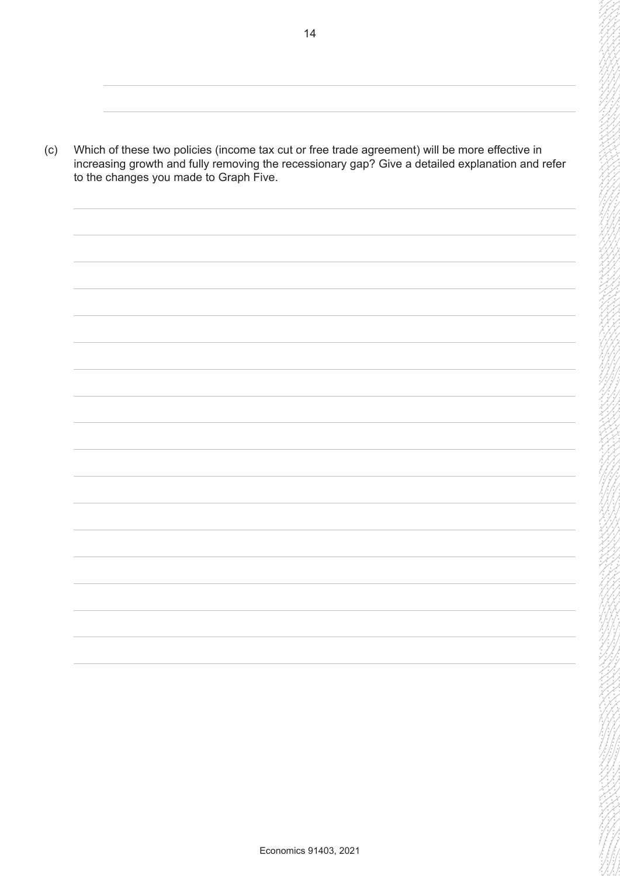(c) Which of these two policies (income tax cut or free trade agreement) will be more effective in increasing growth and fully removing the recessionary gap? Give a detailed explanation and refer to the changes you made to Graph Five.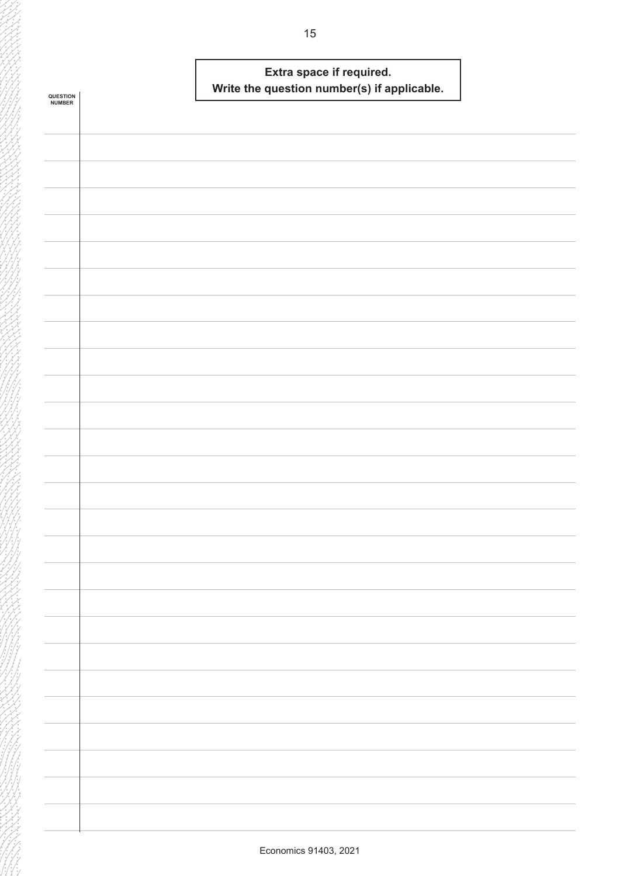|                            | Extra space if required.                    |  |
|----------------------------|---------------------------------------------|--|
|                            | Write the question number(s) if applicable. |  |
| <b>QUESTION<br/>NUMBER</b> |                                             |  |
|                            |                                             |  |
|                            |                                             |  |
|                            |                                             |  |
|                            |                                             |  |
|                            |                                             |  |
|                            |                                             |  |
|                            |                                             |  |
|                            |                                             |  |
|                            |                                             |  |
|                            |                                             |  |
|                            |                                             |  |
|                            |                                             |  |
|                            |                                             |  |
|                            |                                             |  |
|                            |                                             |  |
|                            |                                             |  |
|                            |                                             |  |
|                            |                                             |  |
|                            |                                             |  |
|                            |                                             |  |
|                            |                                             |  |
|                            |                                             |  |
|                            |                                             |  |
|                            |                                             |  |
|                            |                                             |  |
|                            |                                             |  |
|                            |                                             |  |
|                            |                                             |  |
|                            |                                             |  |
|                            |                                             |  |